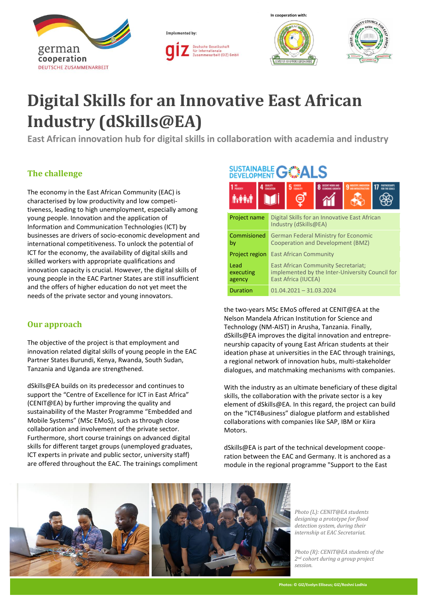







# **Digital Skills for an Innovative East African Industry (dSkills@EA)**

**East African innovation hub for digital skills in collaboration with academia and industry**

## **The challenge**

The economy in the East African Community (EAC) is characterised by low productivity and low competitiveness, leading to high unemployment, especially among young people. Innovation and the application of Information and Communication Technologies (ICT) by businesses are drivers of socio-economic development and international competitiveness. To unlock the potential of ICT for the economy, the availability of digital skills and skilled workers with appropriate qualifications and innovation capacity is crucial. However, the digital skills of young people in the EAC Partner States are still insufficient and the offers of higher education do not yet meet the needs of the private sector and young innovators.

## **Our approach**

The objective of the project is that employment and innovation related digital skills of young people in the EAC Partner States Burundi, Kenya, Rwanda, South Sudan, Tanzania and Uganda are strengthened.

dSkills@EA builds on its predecessor and continues to support the "Centre of Excellence for ICT in East Africa" (CENIT@EA) by further improving the quality and sustainability of the Master Programme "Embedded and Mobile Systems" (MSc EMoS), such as through close collaboration and involvement of the private sector. Furthermore, short course trainings on advanced digital skills for different target groups (unemployed graduates, ICT experts in private and public sector, university staff) are offered throughout the EAC. The trainings compliment

# **SUSTAINABLE GOALS**

| <b>Artist</b>               |                                                                                                 |                                                                                                                      | 5 <sup>cm</sup> |  |  |  |
|-----------------------------|-------------------------------------------------------------------------------------------------|----------------------------------------------------------------------------------------------------------------------|-----------------|--|--|--|
| <b>Project name</b>         |                                                                                                 | Digital Skills for an Innovative East African<br>Industry (dSkills@EA)                                               |                 |  |  |  |
| by                          | Commisioned<br><b>German Federal Ministry for Economic</b><br>Cooperation and Development (BMZ) |                                                                                                                      |                 |  |  |  |
| <b>Project region</b>       |                                                                                                 | <b>East African Community</b>                                                                                        |                 |  |  |  |
| Lead<br>executing<br>agency |                                                                                                 | <b>East African Community Secretariat;</b><br>implemented by the Inter-University Council for<br>East Africa (IUCEA) |                 |  |  |  |
| <b>Duration</b>             |                                                                                                 | $01.04.2021 - 31.03.2024$                                                                                            |                 |  |  |  |

the two-years MSc EMoS offered at CENIT@EA at the Nelson Mandela African Institution for Science and Technology (NM-AIST) in Arusha, Tanzania. Finally, dSkills@EA improves the digital innovation and entrepreneurship capacity of young East African students at their ideation phase at universities in the EAC through trainings, a regional network of innovation hubs, multi-stakeholder dialogues, and matchmaking mechanisms with companies.

With the industry as an ultimate beneficiary of these digital skills, the collaboration with the private sector is a key element of dSkills@EA. In this regard, the project can build on the "ICT4Business" dialogue platform and established collaborations with companies like SAP, IBM or Kiira Motors.

dSkills@EA is part of the technical development cooperation between the EAC and Germany. It is anchored as a module in the regional programme "Support to the East



*Photo (L): CENIT@EA students designing a prototype for flood detection system, during their internship at EAC Secretariat.*

*Photo (R): CENIT@EA students of the 2nd cohort during a group project session.*